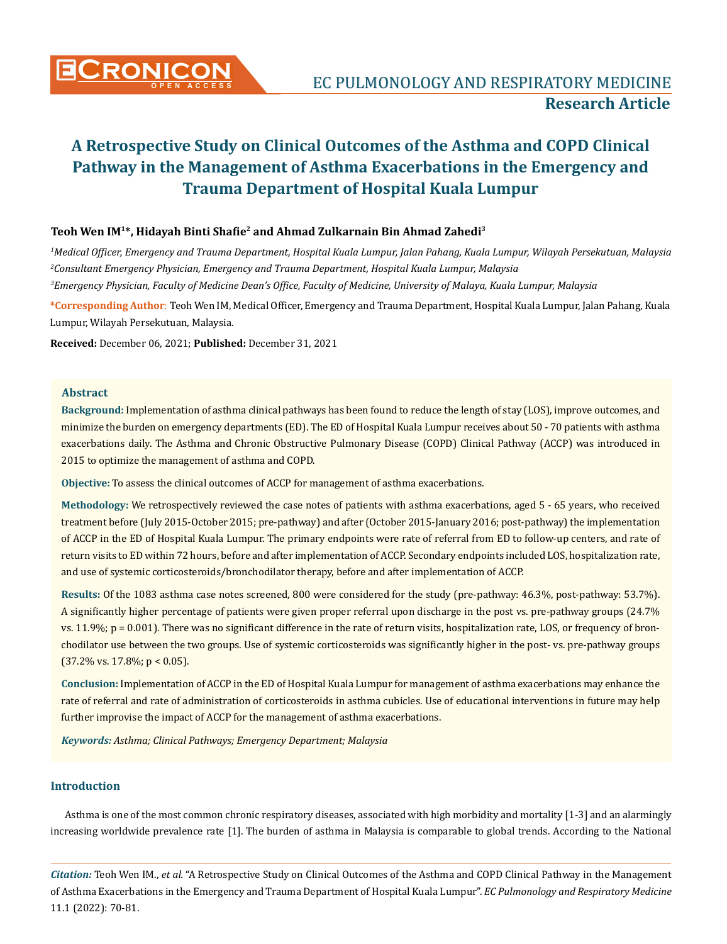

## **Teoh Wen IM1\*, Hidayah Binti Shafie2 and Ahmad Zulkarnain Bin Ahmad Zahedi3**

*1 Medical Officer, Emergency and Trauma Department, Hospital Kuala Lumpur, Jalan Pahang, Kuala Lumpur, Wilayah Persekutuan, Malaysia 2 Consultant Emergency Physician, Emergency and Trauma Department, Hospital Kuala Lumpur, Malaysia 3 Emergency Physician, Faculty of Medicine Dean's Office, Faculty of Medicine, University of Malaya, Kuala Lumpur, Malaysia*

**\*Corresponding Author**: Teoh Wen IM, Medical Officer, Emergency and Trauma Department, Hospital Kuala Lumpur, Jalan Pahang, Kuala Lumpur, Wilayah Persekutuan, Malaysia.

**Received:** December 06, 2021; **Published:** December 31, 2021

### **Abstract**

**Background:** Implementation of asthma clinical pathways has been found to reduce the length of stay (LOS), improve outcomes, and minimize the burden on emergency departments (ED). The ED of Hospital Kuala Lumpur receives about 50 - 70 patients with asthma exacerbations daily. The Asthma and Chronic Obstructive Pulmonary Disease (COPD) Clinical Pathway (ACCP) was introduced in 2015 to optimize the management of asthma and COPD.

**Objective:** To assess the clinical outcomes of ACCP for management of asthma exacerbations.

**Methodology:** We retrospectively reviewed the case notes of patients with asthma exacerbations, aged 5 - 65 years, who received treatment before (July 2015-October 2015; pre-pathway) and after (October 2015-January 2016; post-pathway) the implementation of ACCP in the ED of Hospital Kuala Lumpur. The primary endpoints were rate of referral from ED to follow-up centers, and rate of return visits to ED within 72 hours, before and after implementation of ACCP. Secondary endpoints included LOS, hospitalization rate, and use of systemic corticosteroids/bronchodilator therapy, before and after implementation of ACCP.

**Results:** Of the 1083 asthma case notes screened, 800 were considered for the study (pre-pathway: 46.3%, post-pathway: 53.7%). A significantly higher percentage of patients were given proper referral upon discharge in the post vs. pre-pathway groups (24.7% vs.  $11.9\%$ ;  $p = 0.001$ ). There was no significant difference in the rate of return visits, hospitalization rate, LOS, or frequency of bronchodilator use between the two groups. Use of systemic corticosteroids was significantly higher in the post- vs. pre-pathway groups  $(37.2\% \text{ vs. } 17.8\%; \text{ p} < 0.05).$ 

**Conclusion:** Implementation of ACCP in the ED of Hospital Kuala Lumpur for management of asthma exacerbations may enhance the rate of referral and rate of administration of corticosteroids in asthma cubicles. Use of educational interventions in future may help further improvise the impact of ACCP for the management of asthma exacerbations.

*Keywords: Asthma; Clinical Pathways; Emergency Department; Malaysia*

# **Introduction**

Asthma is one of the most common chronic respiratory diseases, associated with high morbidity and mortality [1-3] and an alarmingly increasing worldwide prevalence rate [1]. The burden of asthma in Malaysia is comparable to global trends. According to the National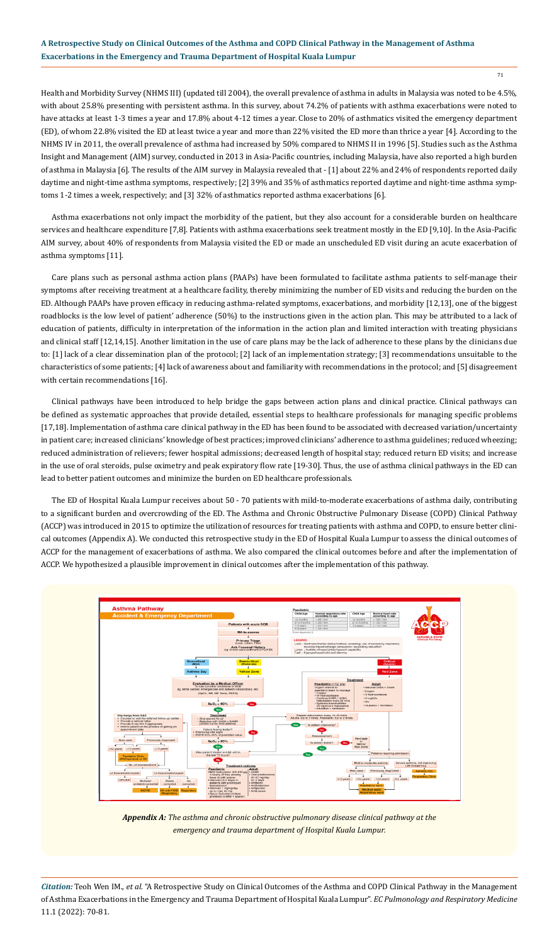71

Health and Morbidity Survey (NHMS III) (updated till 2004), the overall prevalence of asthma in adults in Malaysia was noted to be 4.5%, with about 25.8% presenting with persistent asthma. In this survey, about 74.2% of patients with asthma exacerbations were noted to have attacks at least 1-3 times a year and 17.8% about 4-12 times a year. Close to 20% of asthmatics visited the emergency department (ED), of whom 22.8% visited the ED at least twice a year and more than 22% visited the ED more than thrice a year [4]. According to the NHMS IV in 2011, the overall prevalence of asthma had increased by 50% compared to NHMS II in 1996 [5]. Studies such as the Asthma Insight and Management (AIM) survey, conducted in 2013 in Asia-Pacific countries, including Malaysia, have also reported a high burden of asthma in Malaysia [6]. The results of the AIM survey in Malaysia revealed that - [1] about 22% and 24% of respondents reported daily daytime and night-time asthma symptoms, respectively; [2] 39% and 35% of asthmatics reported daytime and night-time asthma symptoms 1-2 times a week, respectively; and [3] 32% of asthmatics reported asthma exacerbations [6].

Asthma exacerbations not only impact the morbidity of the patient, but they also account for a considerable burden on healthcare services and healthcare expenditure [7,8]. Patients with asthma exacerbations seek treatment mostly in the ED [9,10]. In the Asia-Pacific AIM survey, about 40% of respondents from Malaysia visited the ED or made an unscheduled ED visit during an acute exacerbation of asthma symptoms [11].

Care plans such as personal asthma action plans (PAAPs) have been formulated to facilitate asthma patients to self-manage their symptoms after receiving treatment at a healthcare facility, thereby minimizing the number of ED visits and reducing the burden on the ED. Although PAAPs have proven efficacy in reducing asthma-related symptoms, exacerbations, and morbidity [12,13], one of the biggest roadblocks is the low level of patient' adherence (50%) to the instructions given in the action plan. This may be attributed to a lack of education of patients, difficulty in interpretation of the information in the action plan and limited interaction with treating physicians and clinical staff [12,14,15]. Another limitation in the use of care plans may be the lack of adherence to these plans by the clinicians due to: [1] lack of a clear dissemination plan of the protocol; [2] lack of an implementation strategy; [3] recommendations unsuitable to the characteristics of some patients; [4] lack of awareness about and familiarity with recommendations in the protocol; and [5] disagreement with certain recommendations [16].

Clinical pathways have been introduced to help bridge the gaps between action plans and clinical practice. Clinical pathways can be defined as systematic approaches that provide detailed, essential steps to healthcare professionals for managing specific problems [17,18]. Implementation of asthma care clinical pathway in the ED has been found to be associated with decreased variation/uncertainty in patient care; increased clinicians' knowledge of best practices; improved clinicians' adherence to asthma guidelines; reduced wheezing; reduced administration of relievers; fewer hospital admissions; decreased length of hospital stay; reduced return ED visits; and increase in the use of oral steroids, pulse oximetry and peak expiratory flow rate [19-30]. Thus, the use of asthma clinical pathways in the ED can lead to better patient outcomes and minimize the burden on ED healthcare professionals.

The ED of Hospital Kuala Lumpur receives about 50 - 70 patients with mild-to-moderate exacerbations of asthma daily, contributing to a significant burden and overcrowding of the ED. The Asthma and Chronic Obstructive Pulmonary Disease (COPD) Clinical Pathway (ACCP) was introduced in 2015 to optimize the utilization of resources for treating patients with asthma and COPD, to ensure better clinical outcomes (Appendix A). We conducted this retrospective study in the ED of Hospital Kuala Lumpur to assess the clinical outcomes of ACCP for the management of exacerbations of asthma. We also compared the clinical outcomes before and after the implementation of ACCP. We hypothesized a plausible improvement in clinical outcomes after the implementation of this pathway.



*Appendix A: The asthma and chronic obstructive pulmonary disease clinical pathway at the emergency and trauma department of Hospital Kuala Lumpur.*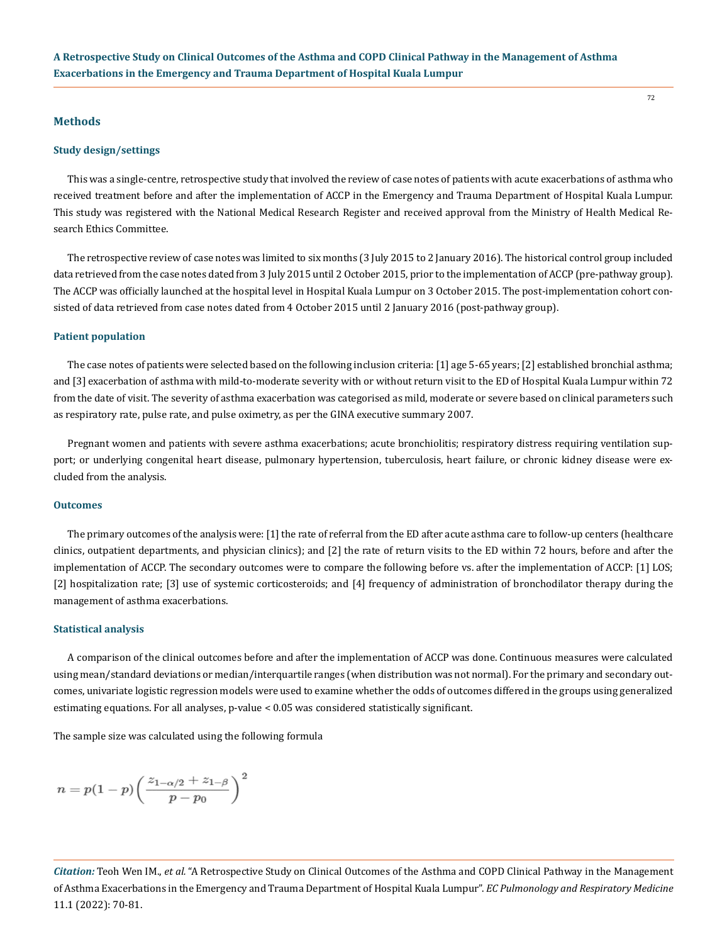#### **Methods**

#### **Study design/settings**

This was a single-centre, retrospective study that involved the review of case notes of patients with acute exacerbations of asthma who received treatment before and after the implementation of ACCP in the Emergency and Trauma Department of Hospital Kuala Lumpur. This study was registered with the National Medical Research Register and received approval from the Ministry of Health Medical Research Ethics Committee.

The retrospective review of case notes was limited to six months (3 July 2015 to 2 January 2016). The historical control group included data retrieved from the case notes dated from 3 July 2015 until 2 October 2015, prior to the implementation of ACCP (pre-pathway group). The ACCP was officially launched at the hospital level in Hospital Kuala Lumpur on 3 October 2015. The post-implementation cohort consisted of data retrieved from case notes dated from 4 October 2015 until 2 January 2016 (post-pathway group).

#### **Patient population**

The case notes of patients were selected based on the following inclusion criteria: [1] age 5-65 years; [2] established bronchial asthma; and [3] exacerbation of asthma with mild-to-moderate severity with or without return visit to the ED of Hospital Kuala Lumpur within 72 from the date of visit. The severity of asthma exacerbation was categorised as mild, moderate or severe based on clinical parameters such as respiratory rate, pulse rate, and pulse oximetry, as per the GINA executive summary 2007.

Pregnant women and patients with severe asthma exacerbations; acute bronchiolitis; respiratory distress requiring ventilation support; or underlying congenital heart disease, pulmonary hypertension, tuberculosis, heart failure, or chronic kidney disease were excluded from the analysis.

### **Outcomes**

The primary outcomes of the analysis were: [1] the rate of referral from the ED after acute asthma care to follow-up centers (healthcare clinics, outpatient departments, and physician clinics); and [2] the rate of return visits to the ED within 72 hours, before and after the implementation of ACCP. The secondary outcomes were to compare the following before vs. after the implementation of ACCP: [1] LOS; [2] hospitalization rate; [3] use of systemic corticosteroids; and [4] frequency of administration of bronchodilator therapy during the management of asthma exacerbations.

#### **Statistical analysis**

A comparison of the clinical outcomes before and after the implementation of ACCP was done. Continuous measures were calculated using mean/standard deviations or median/interquartile ranges (when distribution was not normal). For the primary and secondary outcomes, univariate logistic regression models were used to examine whether the odds of outcomes differed in the groups using generalized estimating equations. For all analyses, p-value < 0.05 was considered statistically significant.

The sample size was calculated using the following formula

$$
n=p(1-p)\bigg(\frac{z_{1-\alpha/2}+z_{1-\beta}}{p-p_0}\bigg)^2
$$

*Citation:* Teoh Wen IM., *et al.* "A Retrospective Study on Clinical Outcomes of the Asthma and COPD Clinical Pathway in the Management of Asthma Exacerbations in the Emergency and Trauma Department of Hospital Kuala Lumpur". *EC Pulmonology and Respiratory Medicine*  11.1 (2022): 70-81.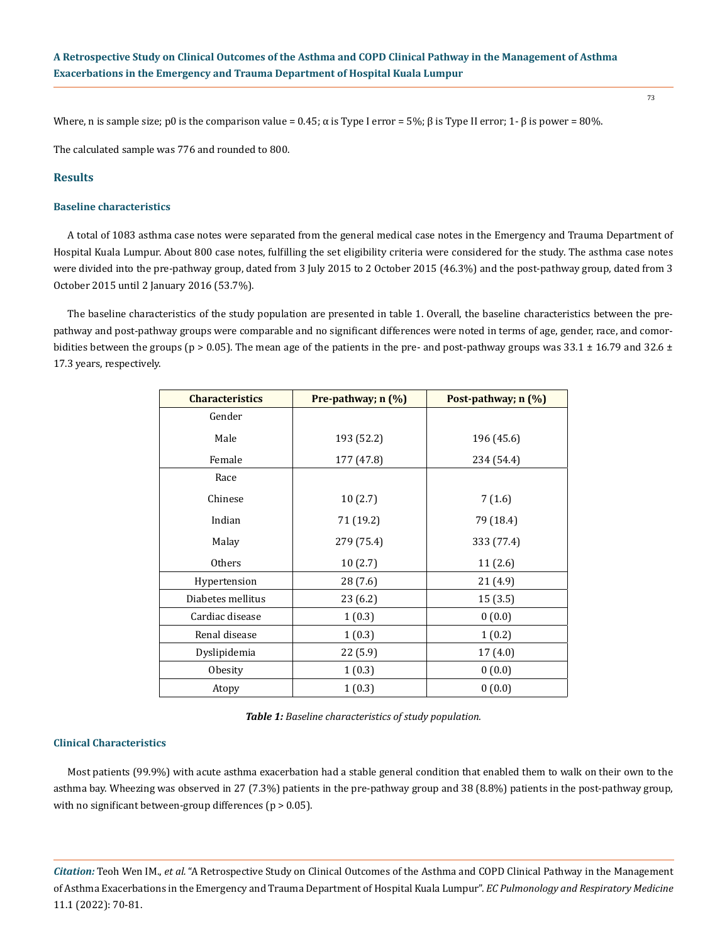Where, n is sample size; p0 is the comparison value = 0.45; α is Type I error = 5%; β is Type II error; 1- β is power = 80%.

The calculated sample was 776 and rounded to 800.

### **Results**

#### **Baseline characteristics**

A total of 1083 asthma case notes were separated from the general medical case notes in the Emergency and Trauma Department of Hospital Kuala Lumpur. About 800 case notes, fulfilling the set eligibility criteria were considered for the study. The asthma case notes were divided into the pre-pathway group, dated from 3 July 2015 to 2 October 2015 (46.3%) and the post-pathway group, dated from 3 October 2015 until 2 January 2016 (53.7%).

The baseline characteristics of the study population are presented in table 1. Overall, the baseline characteristics between the prepathway and post-pathway groups were comparable and no significant differences were noted in terms of age, gender, race, and comorbidities between the groups ( $p > 0.05$ ). The mean age of the patients in the pre- and post-pathway groups was 33.1  $\pm$  16.79 and 32.6  $\pm$ 17.3 years, respectively.

| <b>Characteristics</b> | Pre-pathway; n (%) | Post-pathway; n (%) |
|------------------------|--------------------|---------------------|
| Gender                 |                    |                     |
| Male                   | 193 (52.2)         | 196 (45.6)          |
| Female                 | 177 (47.8)         | 234 (54.4)          |
| Race                   |                    |                     |
| Chinese                | 10(2.7)            | 7(1.6)              |
| Indian                 | 71 (19.2)          | 79 (18.4)           |
| Malay                  | 279 (75.4)         | 333 (77.4)          |
| <b>Others</b>          | 10(2.7)            | 11(2.6)             |
| Hypertension           | 28 (7.6)           | 21 (4.9)            |
| Diabetes mellitus      | 23 (6.2)           | 15(3.5)             |
| Cardiac disease        | 1(0.3)             | 0(0.0)              |
| Renal disease          | 1(0.3)             | 1(0.2)              |
| Dyslipidemia           | 22 (5.9)           | 17(4.0)             |
| Obesity                | 1(0.3)             | 0(0.0)              |
| Atopy                  | 1(0.3)             | 0(0.0)              |

*Table 1: Baseline characteristics of study population.*

#### **Clinical Characteristics**

Most patients (99.9%) with acute asthma exacerbation had a stable general condition that enabled them to walk on their own to the asthma bay. Wheezing was observed in 27 (7.3%) patients in the pre-pathway group and 38 (8.8%) patients in the post-pathway group, with no significant between-group differences ( $p > 0.05$ ).

*Citation:* Teoh Wen IM., *et al.* "A Retrospective Study on Clinical Outcomes of the Asthma and COPD Clinical Pathway in the Management of Asthma Exacerbations in the Emergency and Trauma Department of Hospital Kuala Lumpur". *EC Pulmonology and Respiratory Medicine*  11.1 (2022): 70-81.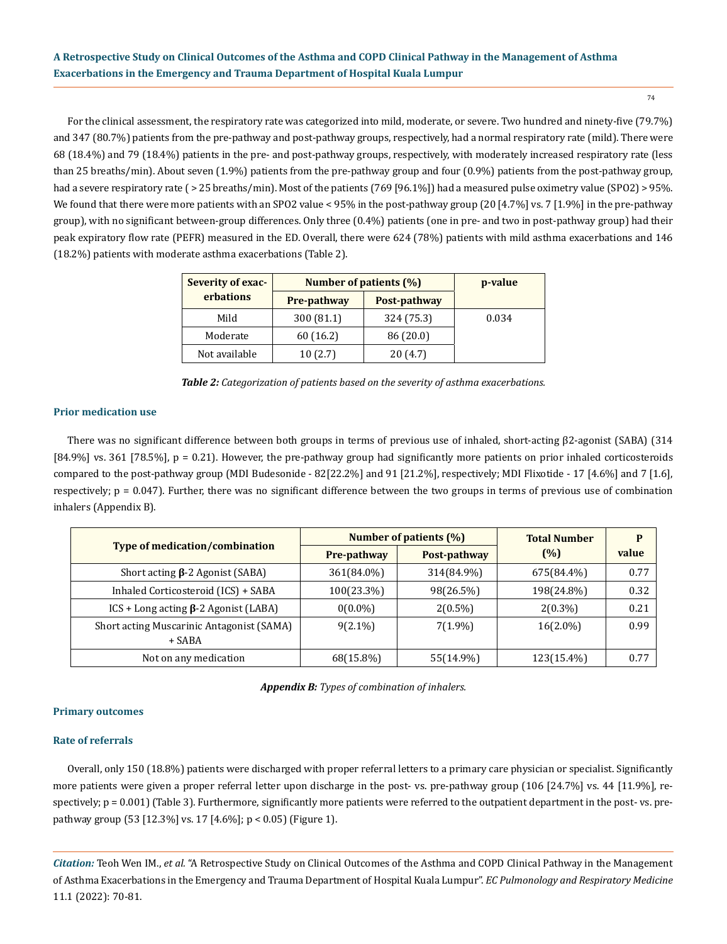For the clinical assessment, the respiratory rate was categorized into mild, moderate, or severe. Two hundred and ninety-five (79.7%) and 347 (80.7%) patients from the pre-pathway and post-pathway groups, respectively, had a normal respiratory rate (mild). There were 68 (18.4%) and 79 (18.4%) patients in the pre- and post-pathway groups, respectively, with moderately increased respiratory rate (less than 25 breaths/min). About seven (1.9%) patients from the pre-pathway group and four (0.9%) patients from the post-pathway group, had a severe respiratory rate ( > 25 breaths/min). Most of the patients (769 [96.1%]) had a measured pulse oximetry value (SPO2) > 95%. We found that there were more patients with an SPO2 value < 95% in the post-pathway group (20 [4.7%] vs. 7 [1.9%] in the pre-pathway group), with no significant between-group differences. Only three (0.4%) patients (one in pre- and two in post-pathway group) had their peak expiratory flow rate (PEFR) measured in the ED. Overall, there were 624 (78%) patients with mild asthma exacerbations and 146 (18.2%) patients with moderate asthma exacerbations (Table 2).

| Severity of exac- | Number of patients (%) | p-value      |       |
|-------------------|------------------------|--------------|-------|
| erbations         | <b>Pre-pathway</b>     | Post-pathway |       |
| Mild              | 300 (81.1)             | 324 (75.3)   | 0.034 |
| Moderate          | 60 (16.2)              | 86 (20.0)    |       |
| Not available     | 10(2.7)                | 20(4.7)      |       |

*Table 2: Categorization of patients based on the severity of asthma exacerbations.*

### **Prior medication use**

There was no significant difference between both groups in terms of previous use of inhaled, short-acting β2-agonist (SABA) (314 [84.9%] vs. 361 [78.5%], p = 0.21). However, the pre-pathway group had significantly more patients on prior inhaled corticosteroids compared to the post-pathway group (MDI Budesonide - 82[22.2%] and 91 [21.2%], respectively; MDI Flixotide - 17 [4.6%] and 7 [1.6], respectively;  $p = 0.047$ ). Further, there was no significant difference between the two groups in terms of previous use of combination inhalers (Appendix B).

|                                                     | Number of patients (%) |              | <b>Total Number</b> | P     |
|-----------------------------------------------------|------------------------|--------------|---------------------|-------|
| <b>Type of medication/combination</b>               | <b>Pre-pathway</b>     | Post-pathway | (%)                 | value |
| Short acting $\beta$ -2 Agonist (SABA)              | 361(84.0%)             | 314(84.9%)   | 675(84.4%)          | 0.77  |
| Inhaled Corticosteroid (ICS) + SABA                 | 100(23.3%)             | 98(26.5%)    | 198(24.8%)          | 0.32  |
| $ICS + Long$ acting $\beta$ -2 Agonist (LABA)       | $0(0.0\%)$             | $2(0.5\%)$   | $2(0.3\%)$          | 0.21  |
| Short acting Muscarinic Antagonist (SAMA)<br>+ SABA | $9(2.1\%)$             | $7(1.9\%)$   | $16(2.0\%)$         | 0.99  |
| Not on any medication                               | 68(15.8%)              | 55(14.9%)    | 123(15.4%)          | 0.77  |

*Appendix B: Types of combination of inhalers.*

### **Primary outcomes**

### **Rate of referrals**

Overall, only 150 (18.8%) patients were discharged with proper referral letters to a primary care physician or specialist. Significantly more patients were given a proper referral letter upon discharge in the post- vs. pre-pathway group (106 [24.7%] vs. 44 [11.9%], respectively;  $p = 0.001$ ) (Table 3). Furthermore, significantly more patients were referred to the outpatient department in the post- vs. prepathway group (53 [12.3%] vs. 17 [4.6%]; p < 0.05) (Figure 1).

*Citation:* Teoh Wen IM., *et al.* "A Retrospective Study on Clinical Outcomes of the Asthma and COPD Clinical Pathway in the Management of Asthma Exacerbations in the Emergency and Trauma Department of Hospital Kuala Lumpur". *EC Pulmonology and Respiratory Medicine*  11.1 (2022): 70-81.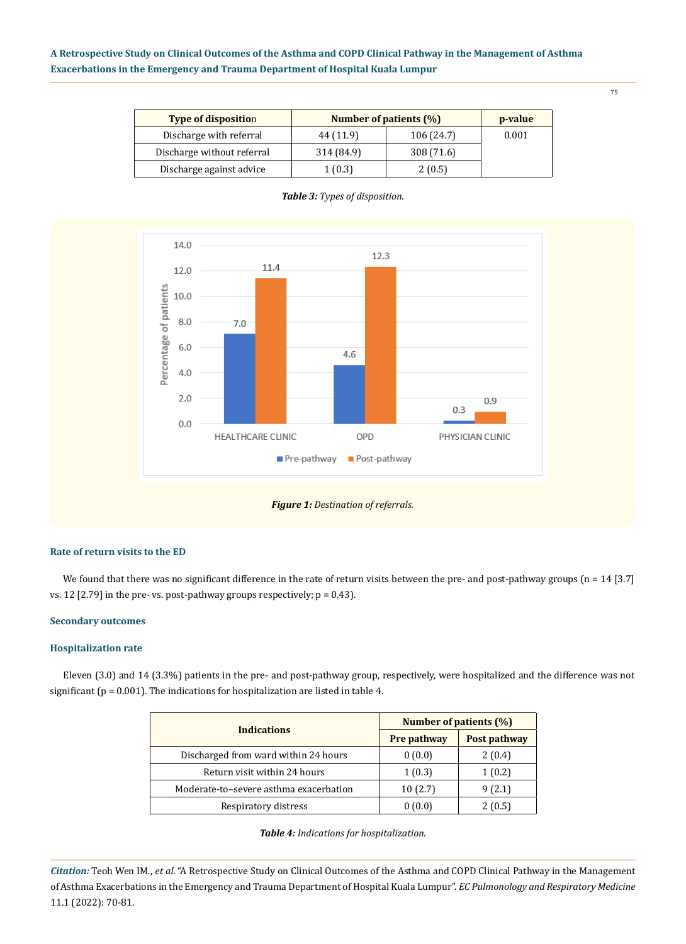| <b>Type of disposition</b> | Number of patients (%) |            | p-value |
|----------------------------|------------------------|------------|---------|
| Discharge with referral    | 44 (11.9)              | 106 (24.7) | 0.001   |
| Discharge without referral | 314 (84.9)             | 308 (71.6) |         |
| Discharge against advice   | 1(0.3)                 | 2(0.5)     |         |



### *Table 3: Types of disposition.*



### **Rate of return visits to the ED**

We found that there was no significant difference in the rate of return visits between the pre- and post-pathway groups (n = 14 [3.7] vs. 12 [2.79] in the pre- vs. post-pathway groups respectively;  $p = 0.43$ ].

#### **Secondary outcomes**

### **Hospitalization rate**

Eleven (3.0) and 14 (3.3%) patients in the pre- and post-pathway group, respectively, were hospitalized and the difference was not significant ( $p = 0.001$ ). The indications for hospitalization are listed in table 4.

| <b>Indications</b>                     | Number of patients (%) |              |  |
|----------------------------------------|------------------------|--------------|--|
|                                        | <b>Pre pathway</b>     | Post pathway |  |
| Discharged from ward within 24 hours   | 0(0.0)                 | 2(0.4)       |  |
| Return visit within 24 hours           | 1(0.3)                 | 1(0.2)       |  |
| Moderate-to-severe asthma exacerbation | 10(2.7)                | 9(2.1)       |  |
| Respiratory distress                   | 0(0.0)                 | 2 (0.5)      |  |

*Citation:* Teoh Wen IM., *et al.* "A Retrospective Study on Clinical Outcomes of the Asthma and COPD Clinical Pathway in the Management of Asthma Exacerbations in the Emergency and Trauma Department of Hospital Kuala Lumpur". *EC Pulmonology and Respiratory Medicine*  11.1 (2022): 70-81.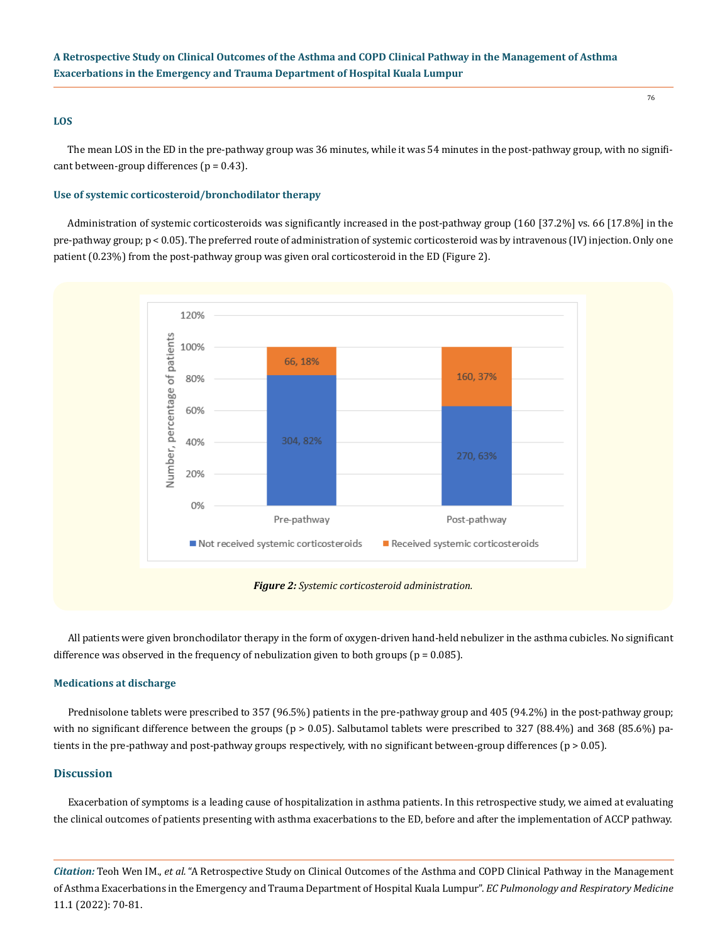### **LOS**

The mean LOS in the ED in the pre-pathway group was 36 minutes, while it was 54 minutes in the post-pathway group, with no significant between-group differences ( $p = 0.43$ ).

#### **Use of systemic corticosteroid/bronchodilator therapy**

Administration of systemic corticosteroids was significantly increased in the post-pathway group (160 [37.2%] vs. 66 [17.8%] in the pre-pathway group; p < 0.05). The preferred route of administration of systemic corticosteroid was by intravenous (IV) injection. Only one patient (0.23%) from the post-pathway group was given oral corticosteroid in the ED (Figure 2).



*Figure 2: Systemic corticosteroid administration.*

All patients were given bronchodilator therapy in the form of oxygen-driven hand-held nebulizer in the asthma cubicles. No significant difference was observed in the frequency of nebulization given to both groups ( $p = 0.085$ ).

#### **Medications at discharge**

Prednisolone tablets were prescribed to 357 (96.5%) patients in the pre-pathway group and 405 (94.2%) in the post-pathway group; with no significant difference between the groups ( $p > 0.05$ ). Salbutamol tablets were prescribed to 327 (88.4%) and 368 (85.6%) patients in the pre-pathway and post-pathway groups respectively, with no significant between-group differences (p > 0.05).

#### **Discussion**

Exacerbation of symptoms is a leading cause of hospitalization in asthma patients. In this retrospective study, we aimed at evaluating the clinical outcomes of patients presenting with asthma exacerbations to the ED, before and after the implementation of ACCP pathway.

*Citation:* Teoh Wen IM., *et al.* "A Retrospective Study on Clinical Outcomes of the Asthma and COPD Clinical Pathway in the Management of Asthma Exacerbations in the Emergency and Trauma Department of Hospital Kuala Lumpur". *EC Pulmonology and Respiratory Medicine*  11.1 (2022): 70-81.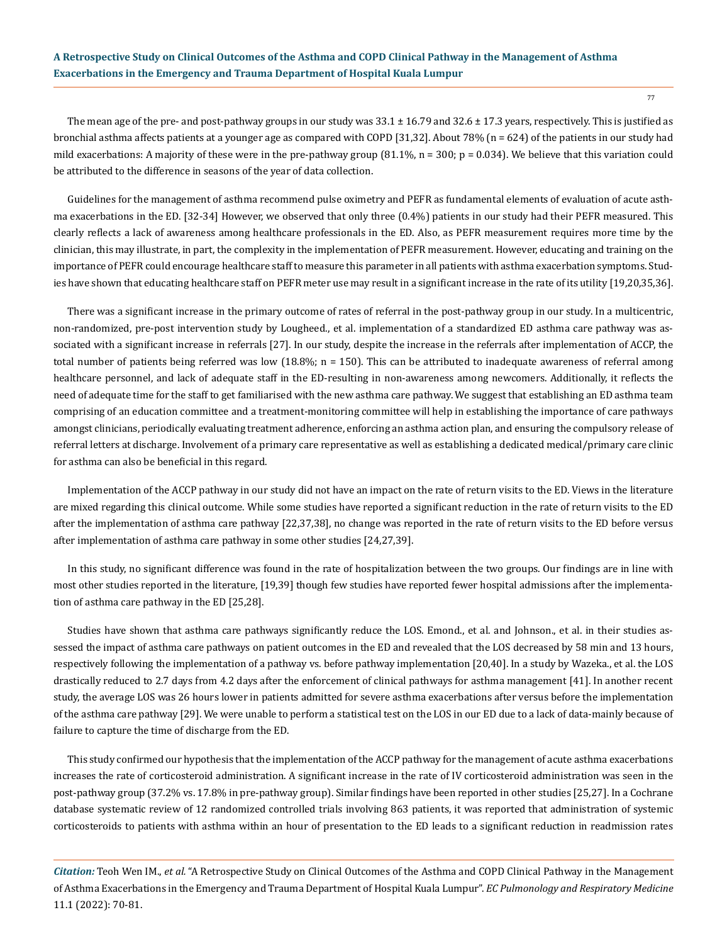77

The mean age of the pre- and post-pathway groups in our study was  $33.1 \pm 16.79$  and  $32.6 \pm 17.3$  years, respectively. This is justified as bronchial asthma affects patients at a younger age as compared with COPD [31,32]. About 78% (n = 624) of the patients in our study had mild exacerbations: A majority of these were in the pre-pathway group  $(81.1\%$ , n = 300; p = 0.034). We believe that this variation could be attributed to the difference in seasons of the year of data collection.

Guidelines for the management of asthma recommend pulse oximetry and PEFR as fundamental elements of evaluation of acute asthma exacerbations in the ED. [32-34] However, we observed that only three (0.4%) patients in our study had their PEFR measured. This clearly reflects a lack of awareness among healthcare professionals in the ED. Also, as PEFR measurement requires more time by the clinician, this may illustrate, in part, the complexity in the implementation of PEFR measurement. However, educating and training on the importance of PEFR could encourage healthcare staff to measure this parameter in all patients with asthma exacerbation symptoms. Studies have shown that educating healthcare staff on PEFR meter use may result in a significant increase in the rate of its utility [19,20,35,36].

There was a significant increase in the primary outcome of rates of referral in the post-pathway group in our study. In a multicentric, non-randomized, pre-post intervention study by Lougheed., et al. implementation of a standardized ED asthma care pathway was associated with a significant increase in referrals [27]. In our study, despite the increase in the referrals after implementation of ACCP, the total number of patients being referred was low  $(18.8\%; n = 150)$ . This can be attributed to inadequate awareness of referral among healthcare personnel, and lack of adequate staff in the ED-resulting in non-awareness among newcomers. Additionally, it reflects the need of adequate time for the staff to get familiarised with the new asthma care pathway. We suggest that establishing an ED asthma team comprising of an education committee and a treatment-monitoring committee will help in establishing the importance of care pathways amongst clinicians, periodically evaluating treatment adherence, enforcing an asthma action plan, and ensuring the compulsory release of referral letters at discharge. Involvement of a primary care representative as well as establishing a dedicated medical/primary care clinic for asthma can also be beneficial in this regard.

Implementation of the ACCP pathway in our study did not have an impact on the rate of return visits to the ED. Views in the literature are mixed regarding this clinical outcome. While some studies have reported a significant reduction in the rate of return visits to the ED after the implementation of asthma care pathway [22,37,38], no change was reported in the rate of return visits to the ED before versus after implementation of asthma care pathway in some other studies [24,27,39].

In this study, no significant difference was found in the rate of hospitalization between the two groups. Our findings are in line with most other studies reported in the literature, [19,39] though few studies have reported fewer hospital admissions after the implementation of asthma care pathway in the ED [25,28].

Studies have shown that asthma care pathways significantly reduce the LOS. Emond., et al. and Johnson., et al. in their studies assessed the impact of asthma care pathways on patient outcomes in the ED and revealed that the LOS decreased by 58 min and 13 hours, respectively following the implementation of a pathway vs. before pathway implementation [20,40]. In a study by Wazeka., et al. the LOS drastically reduced to 2.7 days from 4.2 days after the enforcement of clinical pathways for asthma management [41]. In another recent study, the average LOS was 26 hours lower in patients admitted for severe asthma exacerbations after versus before the implementation of the asthma care pathway [29]. We were unable to perform a statistical test on the LOS in our ED due to a lack of data-mainly because of failure to capture the time of discharge from the ED.

This study confirmed our hypothesis that the implementation of the ACCP pathway for the management of acute asthma exacerbations increases the rate of corticosteroid administration. A significant increase in the rate of IV corticosteroid administration was seen in the post-pathway group (37.2% vs. 17.8% in pre-pathway group). Similar findings have been reported in other studies [25,27]. In a Cochrane database systematic review of 12 randomized controlled trials involving 863 patients, it was reported that administration of systemic corticosteroids to patients with asthma within an hour of presentation to the ED leads to a significant reduction in readmission rates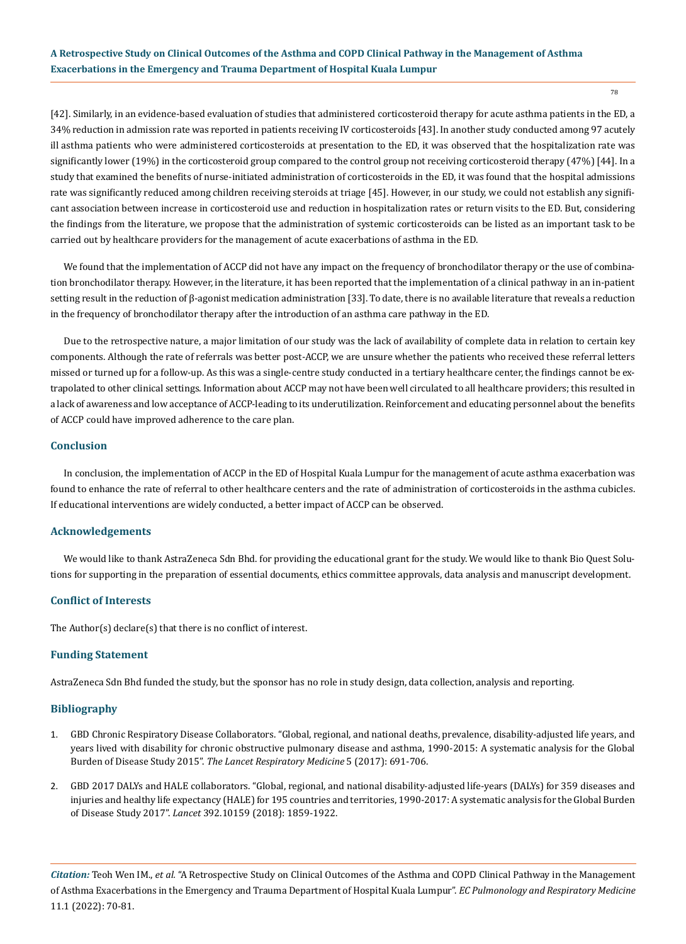[42]. Similarly, in an evidence-based evaluation of studies that administered corticosteroid therapy for acute asthma patients in the ED, a 34% reduction in admission rate was reported in patients receiving IV corticosteroids [43]. In another study conducted among 97 acutely ill asthma patients who were administered corticosteroids at presentation to the ED, it was observed that the hospitalization rate was significantly lower (19%) in the corticosteroid group compared to the control group not receiving corticosteroid therapy (47%) [44]. In a study that examined the benefits of nurse-initiated administration of corticosteroids in the ED, it was found that the hospital admissions rate was significantly reduced among children receiving steroids at triage [45]. However, in our study, we could not establish any significant association between increase in corticosteroid use and reduction in hospitalization rates or return visits to the ED. But, considering the findings from the literature, we propose that the administration of systemic corticosteroids can be listed as an important task to be carried out by healthcare providers for the management of acute exacerbations of asthma in the ED.

We found that the implementation of ACCP did not have any impact on the frequency of bronchodilator therapy or the use of combination bronchodilator therapy. However, in the literature, it has been reported that the implementation of a clinical pathway in an in-patient setting result in the reduction of β-agonist medication administration [33]. To date, there is no available literature that reveals a reduction in the frequency of bronchodilator therapy after the introduction of an asthma care pathway in the ED.

Due to the retrospective nature, a major limitation of our study was the lack of availability of complete data in relation to certain key components. Although the rate of referrals was better post-ACCP, we are unsure whether the patients who received these referral letters missed or turned up for a follow-up. As this was a single-centre study conducted in a tertiary healthcare center, the findings cannot be extrapolated to other clinical settings. Information about ACCP may not have been well circulated to all healthcare providers; this resulted in a lack of awareness and low acceptance of ACCP-leading to its underutilization. Reinforcement and educating personnel about the benefits of ACCP could have improved adherence to the care plan.

#### **Conclusion**

In conclusion, the implementation of ACCP in the ED of Hospital Kuala Lumpur for the management of acute asthma exacerbation was found to enhance the rate of referral to other healthcare centers and the rate of administration of corticosteroids in the asthma cubicles. If educational interventions are widely conducted, a better impact of ACCP can be observed.

#### **Acknowledgements**

We would like to thank AstraZeneca Sdn Bhd. for providing the educational grant for the study. We would like to thank Bio Quest Solutions for supporting in the preparation of essential documents, ethics committee approvals, data analysis and manuscript development.

### **Conflict of Interests**

The Author(s) declare(s) that there is no conflict of interest.

#### **Funding Statement**

AstraZeneca Sdn Bhd funded the study, but the sponsor has no role in study design, data collection, analysis and reporting.

### **Bibliography**

- 1. [GBD Chronic Respiratory Disease Collaborators. "Global, regional, and national deaths, prevalence, disability-adjusted life years, and](https://pubmed.ncbi.nlm.nih.gov/28822787/)  [years lived with disability for chronic obstructive pulmonary disease and asthma, 1990-2015: A systematic analysis for the Global](https://pubmed.ncbi.nlm.nih.gov/28822787/)  Burden of Disease Study 2015". *[The Lancet Respiratory Medicine](https://pubmed.ncbi.nlm.nih.gov/28822787/)* 5 (2017): 691-706.
- 2. [GBD 2017 DALYs and HALE collaborators. "Global, regional, and national disability-adjusted life-years \(DALYs\) for 359 diseases and](https://pubmed.ncbi.nlm.nih.gov/30415748/)  [injuries and healthy life expectancy \(HALE\) for 195 countries and territories, 1990-2017: A systematic analysis for the Global Burden](https://pubmed.ncbi.nlm.nih.gov/30415748/)  of Disease Study 2017". *Lancet* [392.10159 \(2018\): 1859-1922.](https://pubmed.ncbi.nlm.nih.gov/30415748/)

*Citation:* Teoh Wen IM., *et al.* "A Retrospective Study on Clinical Outcomes of the Asthma and COPD Clinical Pathway in the Management of Asthma Exacerbations in the Emergency and Trauma Department of Hospital Kuala Lumpur". *EC Pulmonology and Respiratory Medicine*  11.1 (2022): 70-81.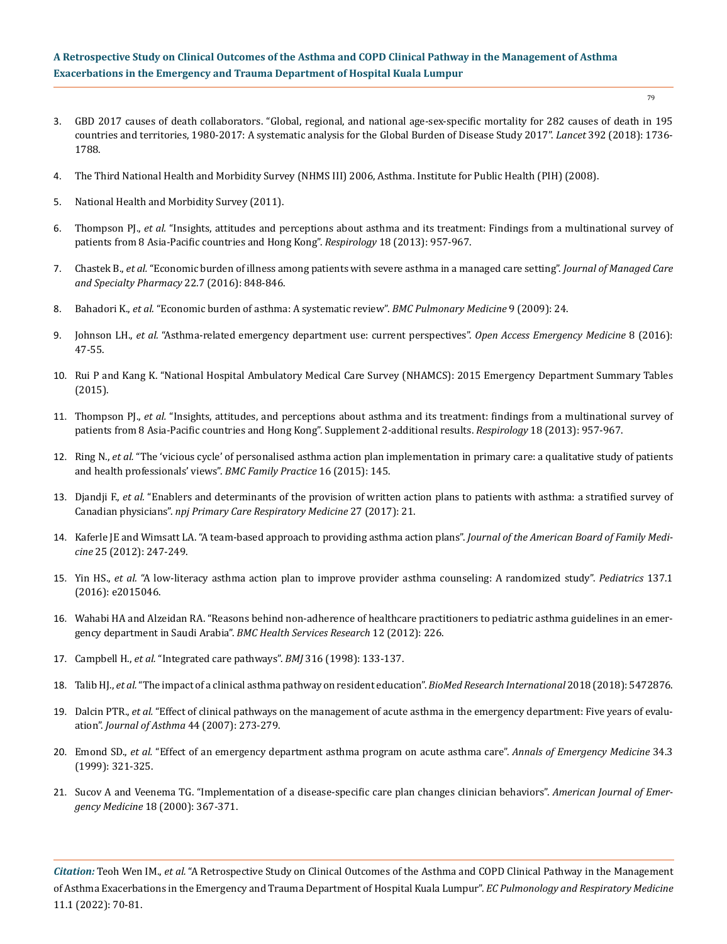- 79
- 3. [GBD 2017 causes of death collaborators. "Global, regional, and national age-sex-specific mortality for 282 causes of death in 195](https://www.thelancet.com/journals/lancet/article/PIIS0140-6736(18)32203-7/fulltext)  [countries and territories, 1980-2017: A systematic analysis for the Global Burden of Disease Study 2017".](https://www.thelancet.com/journals/lancet/article/PIIS0140-6736(18)32203-7/fulltext) *Lancet* 392 (2018): 1736- [1788.](https://www.thelancet.com/journals/lancet/article/PIIS0140-6736(18)32203-7/fulltext)
- 4. [The Third National Health and Morbidity Survey \(NHMS III\) 2006, Asthma. Institute for Public Health \(PIH\) \(2008\).](https://iku.moh.gov.my/images/IKU/Document/REPORT/2006/ExecutiveSummary.pdf)
- 5. [National Health and Morbidity Survey \(2011\).](https://iku.moh.gov.my/images/IKU/Document/REPORT/NHMS2011-VolumeIII.pdf)
- 6. Thompson PJ., *et al.* ["Insights, attitudes and perceptions about asthma and its treatment: Findings from a multinational survey of](https://pubmed.ncbi.nlm.nih.gov/23730953/)  [patients from 8 Asia-Pacific countries and Hong Kong".](https://pubmed.ncbi.nlm.nih.gov/23730953/) *Respirology* 18 (2013): 957-967.
- 7. Chastek B., *et al.* ["Economic burden of illness among patients with severe asthma in a managed care setting".](https://pubmed.ncbi.nlm.nih.gov/27348285/) *Journal of Managed Care [and Specialty Pharmacy](https://pubmed.ncbi.nlm.nih.gov/27348285/)* 22.7 (2016): 848-846.
- 8. Bahadori K., *et al.* ["Economic burden of asthma: A systematic review".](https://pubmed.ncbi.nlm.nih.gov/19454036/) *BMC Pulmonary Medicine* 9 (2009): 24.
- 9. Johnson LH., *et al.* ["Asthma-related emergency department use: current perspectives".](https://pubmed.ncbi.nlm.nih.gov/27471415/) *Open Access Emergency Medicine* 8 (2016): [47-55.](https://pubmed.ncbi.nlm.nih.gov/27471415/)
- 10. [Rui P and Kang K. "National Hospital Ambulatory Medical Care Survey \(NHAMCS\): 2015 Emergency Department Summary Tables](https://www.cdc.gov/nchs/data/nhamcs/web_tables/2015_ed_web_tables.pdf)  [\(2015\).](https://www.cdc.gov/nchs/data/nhamcs/web_tables/2015_ed_web_tables.pdf)
- 11. Thompson PJ., *et al.* ["Insights, attitudes, and perceptions about asthma and its treatment: findings from a multinational survey of](https://pubmed.ncbi.nlm.nih.gov/23730953/)  [patients from 8 Asia-Pacific countries and Hong Kong". Supplement 2-additional results.](https://pubmed.ncbi.nlm.nih.gov/23730953/) *Respirology* 18 (2013): 957-967.
- 12. Ring N., *et al.* ["The 'vicious cycle' of personalised asthma action plan implementation in primary care: a qualitative study of patients](https://bmcfampract.biomedcentral.com/articles/10.1186/s12875-015-0352-4)  [and health professionals' views".](https://bmcfampract.biomedcentral.com/articles/10.1186/s12875-015-0352-4) *BMC Family Practice* 16 (2015): 145.
- 13. Djandji F., *et al.* ["Enablers and determinants of the provision of written action plans to patients with asthma: a stratified survey of](https://pubmed.ncbi.nlm.nih.gov/28364118/)  Canadian physicians". *[npj Primary Care Respiratory Medicine](https://pubmed.ncbi.nlm.nih.gov/28364118/)* 27 (2017): 21.
- 14. [Kaferle JE and Wimsatt LA. "A team-based approach to providing asthma action plans".](https://pubmed.ncbi.nlm.nih.gov/22403208/) *Journal of the American Board of Family Medicine* [25 \(2012\): 247-249.](https://pubmed.ncbi.nlm.nih.gov/22403208/)
- 15. Yin HS., *et al.* ["A low-literacy asthma action plan to improve provider asthma counseling: A randomized study".](https://pubmed.ncbi.nlm.nih.gov/26634774/) *Pediatrics* 137.1 [\(2016\): e2015046.](https://pubmed.ncbi.nlm.nih.gov/26634774/)
- 16. [Wahabi HA and Alzeidan RA. "Reasons behind non-adherence of healthcare practitioners to pediatric asthma guidelines in an emer](https://pubmed.ncbi.nlm.nih.gov/22846162/)[gency department in Saudi Arabia".](https://pubmed.ncbi.nlm.nih.gov/22846162/) *BMC Health Services Research* 12 (2012): 226.
- 17. Campbell H., *et al.* ["Integrated care pathways".](http://www.bandolier.org.uk/booth/glossary/ICP.html) *BMJ* 316 (1998): 133-137.
- 18. Talib HJ., *et al.* ["The impact of a clinical asthma pathway on resident education".](https://pubmed.ncbi.nlm.nih.gov/29789799/) *BioMed Research International* 2018 (2018): 5472876.
- 19. Dalcin PTR., *et al.* ["Effect of clinical pathways on the management of acute asthma in the emergency department: Five years of evalu](https://pubmed.ncbi.nlm.nih.gov/17530525/)ation". *[Journal of Asthma](https://pubmed.ncbi.nlm.nih.gov/17530525/)* 44 (2007): 273-279.
- 20. Emond SD., *et al.* ["Effect of an emergency department asthma program on acute asthma care".](https://pubmed.ncbi.nlm.nih.gov/10459087/) *Annals of Emergency Medicine* 34.3 [\(1999\): 321-325.](https://pubmed.ncbi.nlm.nih.gov/10459087/)
- 21. [Sucov A and Veenema TG. "Implementation of a disease-specific care plan changes clinician behaviors".](https://pubmed.ncbi.nlm.nih.gov/10919520/) *American Journal of Emergency Medicine* [18 \(2000\): 367-371.](https://pubmed.ncbi.nlm.nih.gov/10919520/)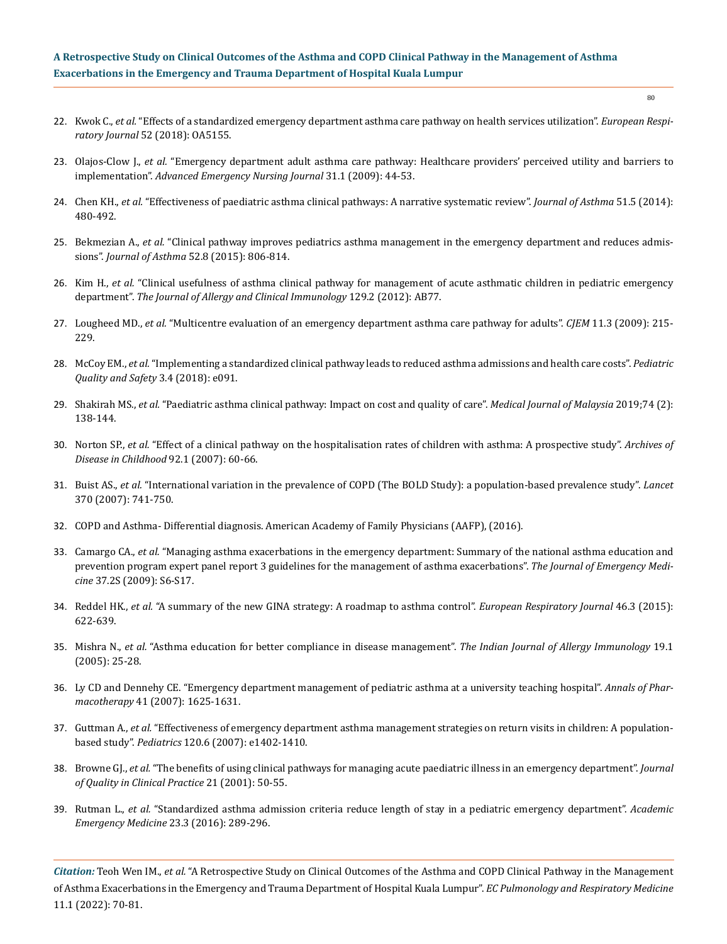- 22. Kwok C., *et al.* ["Effects of a standardized emergency department asthma care pathway on health services utilization".](https://erj.ersjournals.com/content/52/suppl_62/OA5155) *European Respiratory Journal* [52 \(2018\): OA5155.](https://erj.ersjournals.com/content/52/suppl_62/OA5155)
- 23. Olajos-Clow J., *et al.* ["Emergency department adult asthma care pathway: Healthcare providers' perceived utility and barriers to](https://pubmed.ncbi.nlm.nih.gov/20118853/) implementation". *[Advanced Emergency Nursing Journal](https://pubmed.ncbi.nlm.nih.gov/20118853/)* 31.1 (2009): 44-53.
- 24. Chen KH., *et al.* ["Effectiveness of paediatric asthma clinical pathways: A narrative systematic review".](https://pubmed.ncbi.nlm.nih.gov/24471514/) *Journal of Asthma* 51.5 (2014): [480-492.](https://pubmed.ncbi.nlm.nih.gov/24471514/)
- 25. Bekmezian A., *et al.* ["Clinical pathway improves pediatrics asthma management in the emergency department and reduces admis](https://pubmed.ncbi.nlm.nih.gov/25985707/)sions". *[Journal of Asthma](https://pubmed.ncbi.nlm.nih.gov/25985707/)* 52.8 (2015): 806-814.
- 26. Kim H., *et al.* ["Clinical usefulness of asthma clinical pathway for management of acute asthmatic children in pediatric emergency](https://www.researchgate.net/publication/274013997_Clinical_Usefulness_of_Asthma_Clinical_Pathway_for_Management_of_Acute_Asthmatic_Children_in_Pediatric_Emergency_Department) department". *[The Journal of Allergy and Clinical Immunology](https://www.researchgate.net/publication/274013997_Clinical_Usefulness_of_Asthma_Clinical_Pathway_for_Management_of_Acute_Asthmatic_Children_in_Pediatric_Emergency_Department)* 129.2 (2012): AB77.
- 27. Lougheed MD., *et al.* ["Multicentre evaluation of an emergency department asthma care pathway for adults".](https://pubmed.ncbi.nlm.nih.gov/19523270/) *CJEM* 11.3 (2009): 215- [229.](https://pubmed.ncbi.nlm.nih.gov/19523270/)
- 28. McCoy EM., *et al.* ["Implementing a standardized clinical pathway leads to reduced asthma admissions and health care costs".](https://journals.lww.com/pqs/Fulltext/2018/07000/Implementing_a_Standardized_Clinical_Pathway_Leads.6.aspx) *Pediatric [Quality and Safety](https://journals.lww.com/pqs/Fulltext/2018/07000/Implementing_a_Standardized_Clinical_Pathway_Leads.6.aspx)* 3.4 (2018): e091.
- 29. Shakirah MS., *et al.* ["Paediatric asthma clinical pathway: Impact on cost and quality of care".](https://pubmed.ncbi.nlm.nih.gov/31079125/) *Medical Journal of Malaysia* 2019;74 (2): [138-144.](https://pubmed.ncbi.nlm.nih.gov/31079125/)
- 30. Norton SP., *et al.* ["Effect of a clinical pathway on the hospitalisation rates of children with asthma: A prospective study".](https://pubmed.ncbi.nlm.nih.gov/16905562/) *Archives of [Disease in Childhood](https://pubmed.ncbi.nlm.nih.gov/16905562/)* 92.1 (2007): 60-66.
- 31. Buist AS., *et al.* ["International variation in the prevalence of COPD \(The BOLD Study\): a population-based prevalence study".](https://pubmed.ncbi.nlm.nih.gov/17765523/) *Lancet* [370 \(2007\): 741-750.](https://pubmed.ncbi.nlm.nih.gov/17765523/)
- 32. [COPD and Asthma- Differential diagnosis. American Academy of Family Physicians \(AAFP\), \(2016\).](https://www.aafp.org/dam/AAFP/documents/journals/fpm/COPD-Asthma.pdf)
- 33. Camargo CA., *et al.* ["Managing asthma exacerbations in the emergency department: Summary of the national asthma education and](https://pubmed.ncbi.nlm.nih.gov/19683665) [prevention program expert panel report 3 guidelines for the management of asthma exacerbations".](https://pubmed.ncbi.nlm.nih.gov/19683665) *The Journal of Emergency Medicine* [37.2S \(2009\): S6-S17.](https://pubmed.ncbi.nlm.nih.gov/19683665)
- 34. Reddel HK., *et al.* ["A summary of the new GINA strategy: A roadmap to asthma control".](https://pubmed.ncbi.nlm.nih.gov/26206872/) *European Respiratory Journal* 46.3 (2015): [622-639.](https://pubmed.ncbi.nlm.nih.gov/26206872/)
- 35. Mishra N., *et al.* ["Asthma education for better compliance in disease management".](https://pubmed.ncbi.nlm.nih.gov/23738402/) *The Indian Journal of Allergy Immunology* 19.1 [\(2005\): 25-28.](https://pubmed.ncbi.nlm.nih.gov/23738402/)
- 36. [Ly CD and Dennehy CE. "Emergency department management of pediatric asthma at a university teaching hospital".](https://pubmed.ncbi.nlm.nih.gov/17848423/) *Annals of Pharmacotherapy* [41 \(2007\): 1625-1631.](https://pubmed.ncbi.nlm.nih.gov/17848423/)
- 37. Guttman A., *et al.* ["Effectiveness of emergency department asthma management strategies on return visits in children: A population](https://pubmed.ncbi.nlm.nih.gov/18055658)based study". *Pediatrics* [120.6 \(2007\): e1402-1410.](https://pubmed.ncbi.nlm.nih.gov/18055658)
- 38. Browne GJ., *et al.* ["The benefits of using clinical pathways for managing acute paediatric illness in an emergency department".](https://pubmed.ncbi.nlm.nih.gov/11892822/) *Journal [of Quality in Clinical Practice](https://pubmed.ncbi.nlm.nih.gov/11892822/)* 21 (2001): 50-55.
- 39. Rutman L., *et al.* ["Standardized asthma admission criteria reduce length of stay in a pediatric emergency department".](https://pubmed.ncbi.nlm.nih.gov/26728418/) *Academic [Emergency Medicine](https://pubmed.ncbi.nlm.nih.gov/26728418/)* 23.3 (2016): 289-296.

*Citation:* Teoh Wen IM., *et al.* "A Retrospective Study on Clinical Outcomes of the Asthma and COPD Clinical Pathway in the Management of Asthma Exacerbations in the Emergency and Trauma Department of Hospital Kuala Lumpur". *EC Pulmonology and Respiratory Medicine*  11.1 (2022): 70-81.